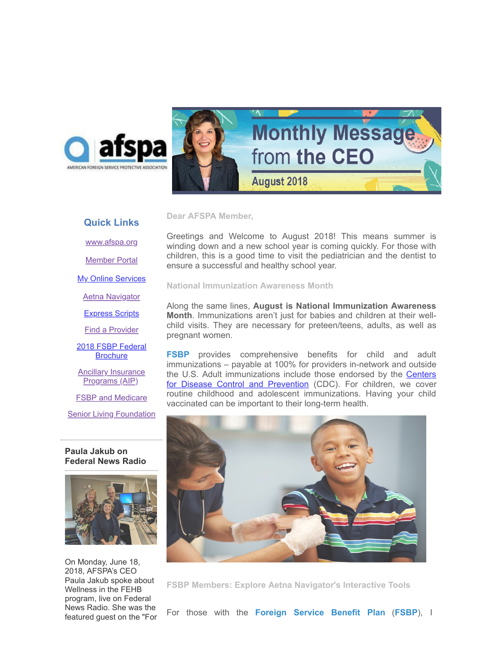



## **Quick Links**

[www.afspa.org](http://www.afspa.org/)

[Member Portal](https://secure.myafspa.org/)

**[My Online Services](https://member.cvty.com/memberPortalWeb/appmanager/memberPortal/member)** 

[Aetna Navigator](http://www.aetnanavigator.com/)

[Express Scripts](https://www.express-scripts.com/consumer/site/home?partner=FSBP&accessLink=FSBPDCC)

[Find a Provider](http://www.afspa.org/fsbp/provider)

[2018 FSBP Federal](https://www.afspa.org/filestoreAFSPA/2018RI72-001FSBPBrochure.pdf) **Brochure** 

**[Ancillary Insurance](https://www.afspa.org/aip_home.cfm)** Programs (AIP)

**[FSBP and Medicare](https://www.afspa.org/filestoreAFSPA/2018MedicareBrochure.pdf)** 

**[Senior Living Foundation](http://www.slfoundation.org/)** 

**Paula Jakub on Federal News Radio**



On Monday, June 18, 2018, AFSPA's CEO Paula Jakub spoke about Wellness in the FEHB program, live on Federal News Radio. She was the featured guest on the "For

Greetings and Welcome to August 2018! This means summer is winding down and a new school year is coming quickly. For those with children, this is a good time to visit the pediatrician and the dentist to ensure a successful and healthy school year.

**National Immunization Awareness Month**

**Dear AFSPA Member,**

Along the same lines, **August is National Immunization Awareness Month**. Immunizations aren't just for babies and children at their wellchild visits. They are necessary for preteen/teens, adults, as well as pregnant women.

**FSBP** provides comprehensive benefits for child and adult immunizations – payable at 100% for providers in-network and outside the U.S. Adult immunizations include those endorsed by the **Centers** for Disease Control and Prevention (CDC). For children, we cover routine childhood and adolescent immunizations. Having your child vaccinated can be important to their long-term health.



**FSBP Members: Explore Aetna Navigator's Interactive Tools**

For those with the **Foreign Service Benefit Plan** (**FSBP**), I